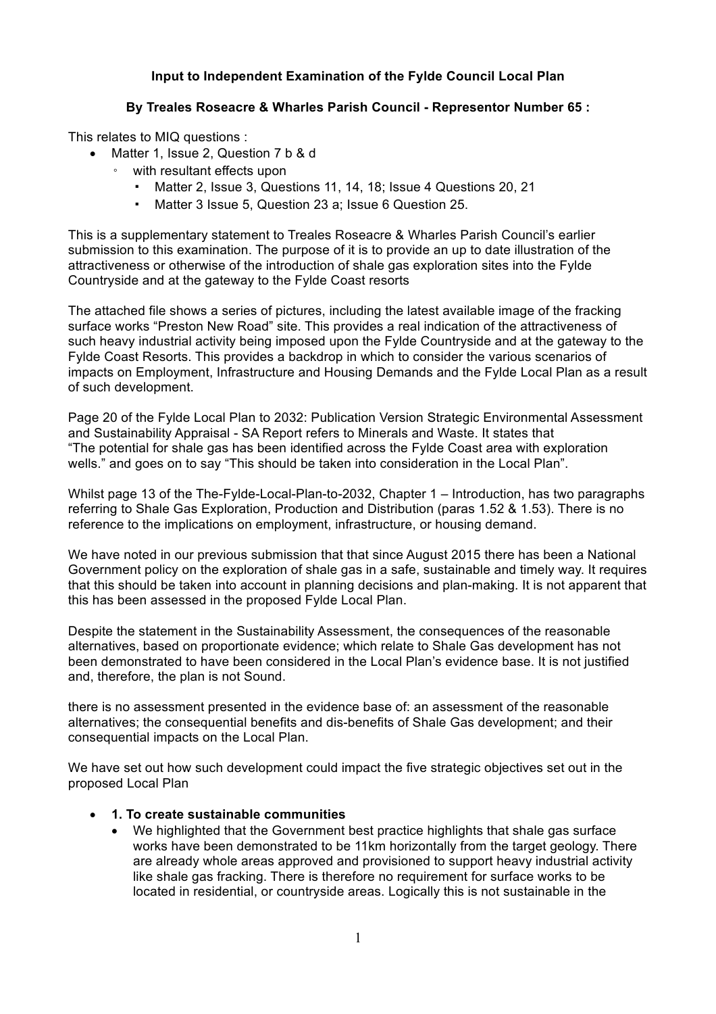## **Input to Independent Examination of the Fylde Council Local Plan**

## **By Treales Roseacre & Wharles Parish Council - Representor Number 65 :**

This relates to MIQ questions :

- Matter 1, Issue 2, Question 7 b & d
	- with resultant effects upon
		- Matter 2, Issue 3, Questions 11, 14, 18; Issue 4 Questions 20, 21
		- Matter 3 Issue 5, Question 23 a; Issue 6 Question 25.

This is a supplementary statement to Treales Roseacre & Wharles Parish Council's earlier submission to this examination. The purpose of it is to provide an up to date illustration of the attractiveness or otherwise of the introduction of shale gas exploration sites into the Fylde Countryside and at the gateway to the Fylde Coast resorts

The attached file shows a series of pictures, including the latest available image of the fracking surface works "Preston New Road" site. This provides a real indication of the attractiveness of such heavy industrial activity being imposed upon the Fylde Countryside and at the gateway to the Fylde Coast Resorts. This provides a backdrop in which to consider the various scenarios of impacts on Employment, Infrastructure and Housing Demands and the Fylde Local Plan as a result of such development.

Page 20 of the Fylde Local Plan to 2032: Publication Version Strategic Environmental Assessment and Sustainability Appraisal - SA Report refers to Minerals and Waste. It states that "The potential for shale gas has been identified across the Fylde Coast area with exploration wells." and goes on to say "This should be taken into consideration in the Local Plan".

Whilst page 13 of the The-Fylde-Local-Plan-to-2032, Chapter 1 – Introduction, has two paragraphs referring to Shale Gas Exploration, Production and Distribution (paras 1.52 & 1.53). There is no reference to the implications on employment, infrastructure, or housing demand.

We have noted in our previous submission that that since August 2015 there has been a National Government policy on the exploration of shale gas in a safe, sustainable and timely way. It requires that this should be taken into account in planning decisions and plan-making. It is not apparent that this has been assessed in the proposed Fylde Local Plan.

Despite the statement in the Sustainability Assessment, the consequences of the reasonable alternatives, based on proportionate evidence; which relate to Shale Gas development has not been demonstrated to have been considered in the Local Plan's evidence base. It is not justified and, therefore, the plan is not Sound.

there is no assessment presented in the evidence base of: an assessment of the reasonable alternatives; the consequential benefits and dis-benefits of Shale Gas development; and their consequential impacts on the Local Plan.

We have set out how such development could impact the five strategic objectives set out in the proposed Local Plan

## • **1. To create sustainable communities**

• We highlighted that the Government best practice highlights that shale gas surface works have been demonstrated to be 11km horizontally from the target geology. There are already whole areas approved and provisioned to support heavy industrial activity like shale gas fracking. There is therefore no requirement for surface works to be located in residential, or countryside areas. Logically this is not sustainable in the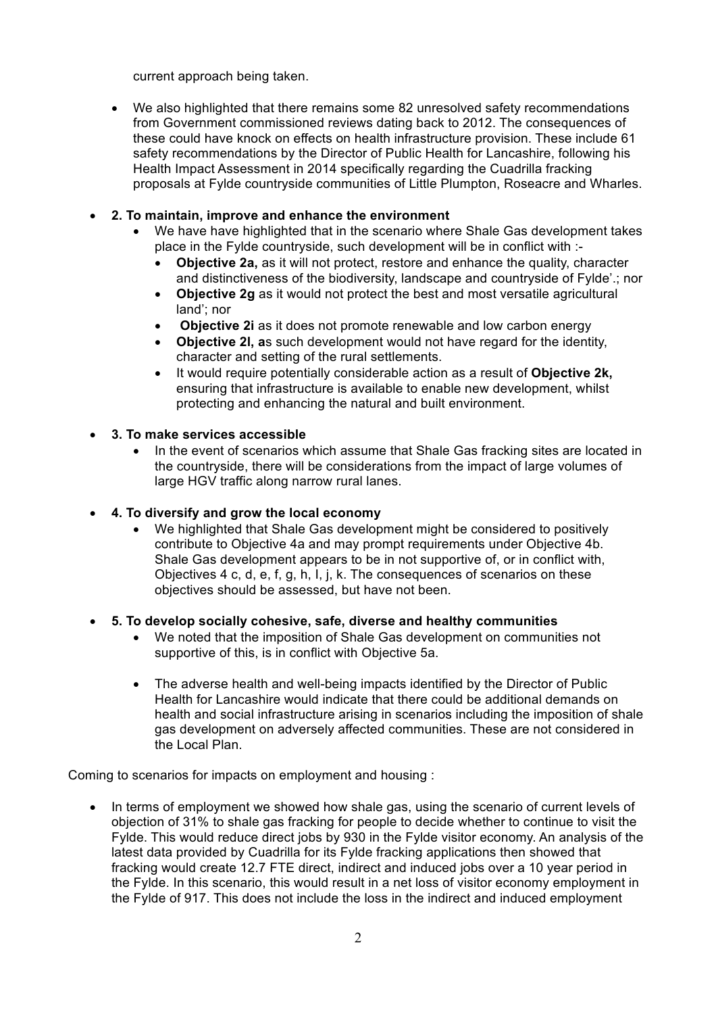current approach being taken.

• We also highlighted that there remains some 82 unresolved safety recommendations from Government commissioned reviews dating back to 2012. The consequences of these could have knock on effects on health infrastructure provision. These include 61 safety recommendations by the Director of Public Health for Lancashire, following his Health Impact Assessment in 2014 specifically regarding the Cuadrilla fracking proposals at Fylde countryside communities of Little Plumpton, Roseacre and Wharles.

## • **2. To maintain, improve and enhance the environment**

- We have have highlighted that in the scenario where Shale Gas development takes place in the Fylde countryside, such development will be in conflict with :-
	- **Objective 2a,** as it will not protect, restore and enhance the quality, character and distinctiveness of the biodiversity, landscape and countryside of Fylde'.; nor
	- **Objective 2g** as it would not protect the best and most versatile agricultural land'; nor
	- **Objective 2i** as it does not promote renewable and low carbon energy
	- **Objective 2l, a**s such development would not have regard for the identity, character and setting of the rural settlements.
	- It would require potentially considerable action as a result of **Objective 2k,**  ensuring that infrastructure is available to enable new development, whilst protecting and enhancing the natural and built environment.
- **3. To make services accessible**
	- In the event of scenarios which assume that Shale Gas fracking sites are located in the countryside, there will be considerations from the impact of large volumes of large HGV traffic along narrow rural lanes.
- **4. To diversify and grow the local economy**
	- We highlighted that Shale Gas development might be considered to positively contribute to Objective 4a and may prompt requirements under Objective 4b. Shale Gas development appears to be in not supportive of, or in conflict with, Objectives 4 c, d, e, f, g, h, I, j, k. The consequences of scenarios on these objectives should be assessed, but have not been.
- **5. To develop socially cohesive, safe, diverse and healthy communities**
	- We noted that the imposition of Shale Gas development on communities not supportive of this, is in conflict with Objective 5a.
	- The adverse health and well-being impacts identified by the Director of Public Health for Lancashire would indicate that there could be additional demands on health and social infrastructure arising in scenarios including the imposition of shale gas development on adversely affected communities. These are not considered in the Local Plan.

Coming to scenarios for impacts on employment and housing :

• In terms of employment we showed how shale gas, using the scenario of current levels of objection of 31% to shale gas fracking for people to decide whether to continue to visit the Fylde. This would reduce direct jobs by 930 in the Fylde visitor economy. An analysis of the latest data provided by Cuadrilla for its Fylde fracking applications then showed that fracking would create 12.7 FTE direct, indirect and induced jobs over a 10 year period in the Fylde. In this scenario, this would result in a net loss of visitor economy employment in the Fylde of 917. This does not include the loss in the indirect and induced employment